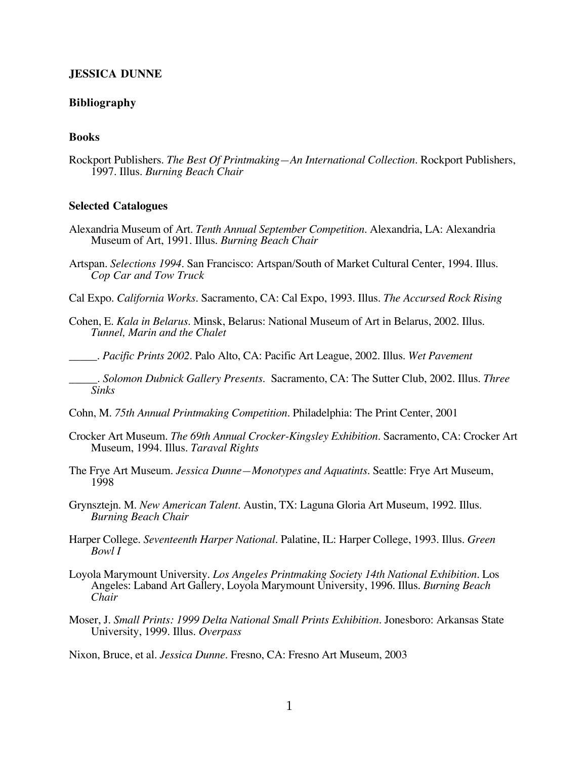### **JESSICA DUNNE**

#### **Bibliography**

# **Books**

Rockport Publishers. *The Best Of Printmaking—An International Collection.* Rockport Publishers, 1997. Illus. *Burning Beach Chair*

### **Selected Catalogues**

- Alexandria Museum of Art*. Tenth Annual September Competition.* Alexandria, LA: Alexandria Museum of Art, 1991. Illus. *Burning Beach Chair*
- Artspan. *Selections 1994.* San Francisco: Artspan/South of Market Cultural Center, 1994. Illus. *Cop Car and Tow Truck*
- Cal Expo. *California Works.* Sacramento, CA: Cal Expo, 1993. Illus. *The Accursed Rock Rising*
- Cohen, E. *Kala in Belarus*. Minsk, Belarus: National Museum of Art in Belarus, 2002. Illus. *Tunnel, Marin and the Chalet*
- \_\_\_\_\_. *Pacific Prints 2002*. Palo Alto, CA: Pacific Art League, 2002. Illus. *Wet Pavement*
- \_\_\_\_\_. *Solomon Dubnick Gallery Presents*. Sacramento, CA: The Sutter Club, 2002. Illus. *Three Sinks*
- Cohn, M. *75th Annual Printmaking Competition*. Philadelphia: The Print Center, 2001
- Crocker Art Museum. *The 69th Annual Crocker-Kingsley Exhibition.* Sacramento, CA: Crocker Art Museum, 1994. Illus. *Taraval Rights*
- The Frye Art Museum*. Jessica Dunne—Monotypes and Aquatints*. Seattle: Frye Art Museum, 1998
- Grynsztejn. M*. New American Talent.* Austin, TX: Laguna Gloria Art Museum, 1992. Illus. *Burning Beach Chair*
- Harper College. *Seventeenth Harper National*. Palatine, IL: Harper College, 1993. Illus. *Green Bowl I*
- Loyola Marymount University. *Los Angeles Printmaking Society 14th National Exhibition.* Los Angeles: Laband Art Gallery, Loyola Marymount University, 1996. Illus. *Burning Beach Chair*
- Moser, J. *Small Prints: 1999 Delta National Small Prints Exhibition*. Jonesboro: Arkansas State University, 1999. Illus. *Overpass*

Nixon, Bruce, et al. *Jessica Dunne*. Fresno, CA: Fresno Art Museum, 2003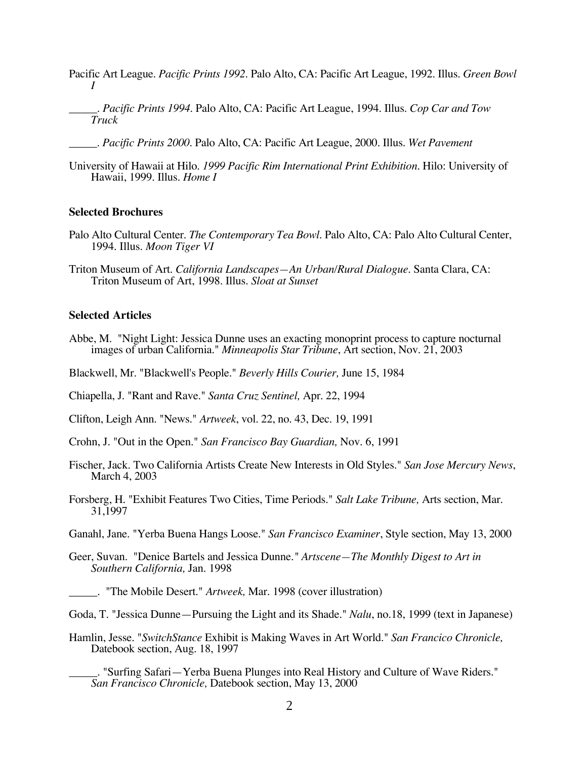- Pacific Art League*. Pacific Prints 1992*. Palo Alto, CA: Pacific Art League, 1992. Illus. *Green Bowl I*
	- \_\_\_\_\_*. Pacific Prints 1994*. Palo Alto, CA: Pacific Art League, 1994. Illus. *Cop Car and Tow Truck*
	- \_\_\_\_\_*. Pacific Prints 2000*. Palo Alto, CA: Pacific Art League, 2000. Illus. *Wet Pavement*
- University of Hawaii at Hilo. *1999 Pacific Rim International Print Exhibition.* Hilo: University of Hawaii, 1999. Illus. *Home I*

# **Selected Brochures**

- Palo Alto Cultural Center. *The Contemporary Tea Bowl.* Palo Alto, CA: Palo Alto Cultural Center, 1994. Illus. *Moon Tiger VI*
- Triton Museum of Art. *California Landscapes—An Urban/Rural Dialogue.* Santa Clara, CA: Triton Museum of Art, 1998. Illus. *Sloat at Sunset*

### **Selected Articles**

- Abbe, M. "Night Light: Jessica Dunne uses an exacting monoprint process to capture nocturnal images of urban California." *Minneapolis Star Tribune*, Art section, Nov. 21, 2003
- Blackwell, Mr. "Blackwell's People." *Beverly Hills Courier,* June 15, 1984

Chiapella, J. "Rant and Rave." *Santa Cruz Sentinel,* Apr. 22, 1994

Clifton, Leigh Ann. "News." *Artweek*, vol. 22, no. 43, Dec. 19, 1991

Crohn, J. "Out in the Open." *San Francisco Bay Guardian,* Nov. 6, 1991

- Fischer, Jack. Two California Artists Create New Interests in Old Styles." *San Jose Mercury News*, March 4, 2003
- Forsberg, H. "Exhibit Features Two Cities, Time Periods." *Salt Lake Tribune,* Arts section, Mar. 31,1997
- Ganahl, Jane. "Yerba Buena Hangs Loose." *San Francisco Examiner*, Style section, May 13, 2000
- Geer, Suvan. "Denice Bartels and Jessica Dunne*." Artscene—The Monthly Digest to Art in Southern California,* Jan. 1998

\_\_\_\_\_. "The Mobile Desert." *Artweek,* Mar. 1998 (cover illustration)

Goda, T. "Jessica Dunne—Pursuing the Light and its Shade." *Nalu*, no.18, 1999 (text in Japanese)

Hamlin, Jesse. "*SwitchStance* Exhibit is Making Waves in Art World." *San Francico Chronicle,* Datebook section, Aug. 18, 1997

\_\_\_\_\_. "Surfing Safari—Yerba Buena Plunges into Real History and Culture of Wave Riders." *San Francisco Chronicle,* Datebook section, May 13, 2000